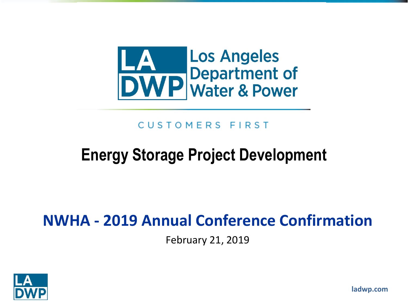

#### CUSTOMERS FIRST

#### **Energy Storage Project Development**

#### **NWHA - 2019 Annual Conference Confirmation**

February 21, 2019



**ladwp.com**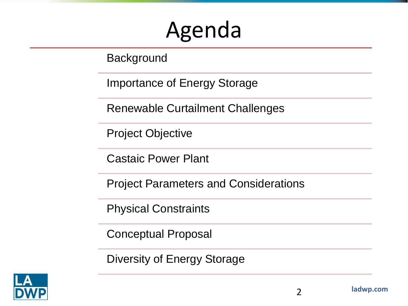## Agenda

Background

Importance of Energy Storage

Renewable Curtailment Challenges

Project Objective

Castaic Power Plant

Project Parameters and Considerations

Physical Constraints

Conceptual Proposal

Diversity of Energy Storage

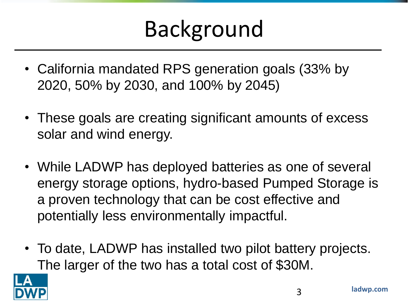## Background

- California mandated RPS generation goals (33% by 2020, 50% by 2030, and 100% by 2045)
- These goals are creating significant amounts of excess solar and wind energy.
- While LADWP has deployed batteries as one of several energy storage options, hydro-based Pumped Storage is a proven technology that can be cost effective and potentially less environmentally impactful.
- To date, LADWP has installed two pilot battery projects. The larger of the two has a total cost of \$30M.

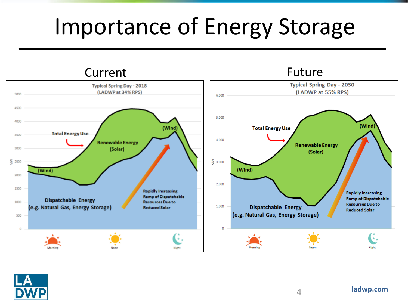## Importance of Energy Storage

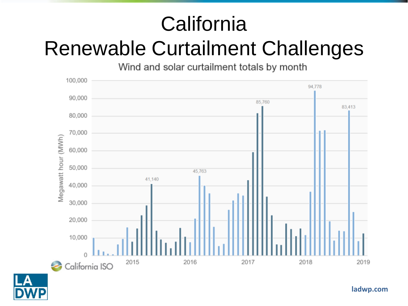## **California** Renewable Curtailment Challenges

Wind and solar curtailment totals by month



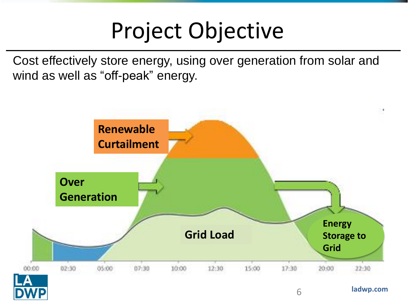## Project Objective

Cost effectively store energy, using over generation from solar and wind as well as "off-peak" energy.

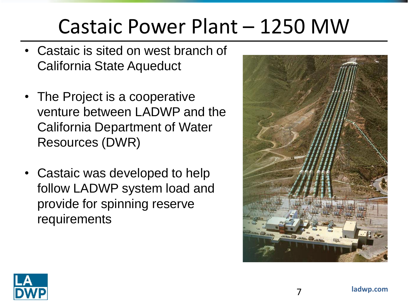#### Castaic Power Plant – 1250 MW

- Castaic is sited on west branch of California State Aqueduct
- The Project is a cooperative venture between LADWP and the California Department of Water Resources (DWR)
- Castaic was developed to help follow LADWP system load and provide for spinning reserve requirements



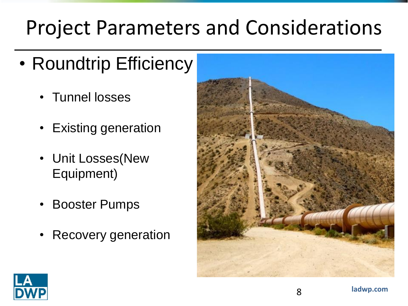## Project Parameters and Considerations

- Roundtrip Efficiency
	- Tunnel losses
	- Existing generation
	- Unit Losses(New Equipment)
	- Booster Pumps
	- Recovery generation



8

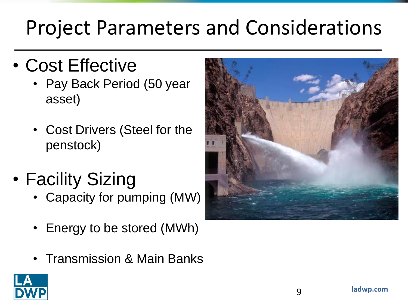## Project Parameters and Considerations

- Cost Effective
	- Pay Back Period (50 year asset)
	- Cost Drivers (Steel for the penstock)
- Facility Sizing
	- Capacity for pumping (MW)
	- Energy to be stored (MWh)
	- Transmission & Main Banks



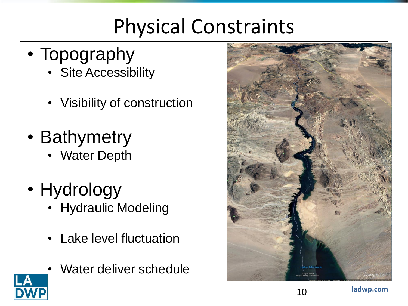## Physical Constraints

- Topography
	- Site Accessibility
	- Visibility of construction
- Bathymetry
	- **Water Depth**
- Hydrology
	- Hydraulic Modeling
	- **Lake level fluctuation**
	- Water deliver schedule

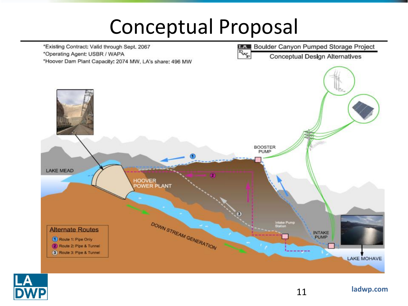#### Conceptual Proposal